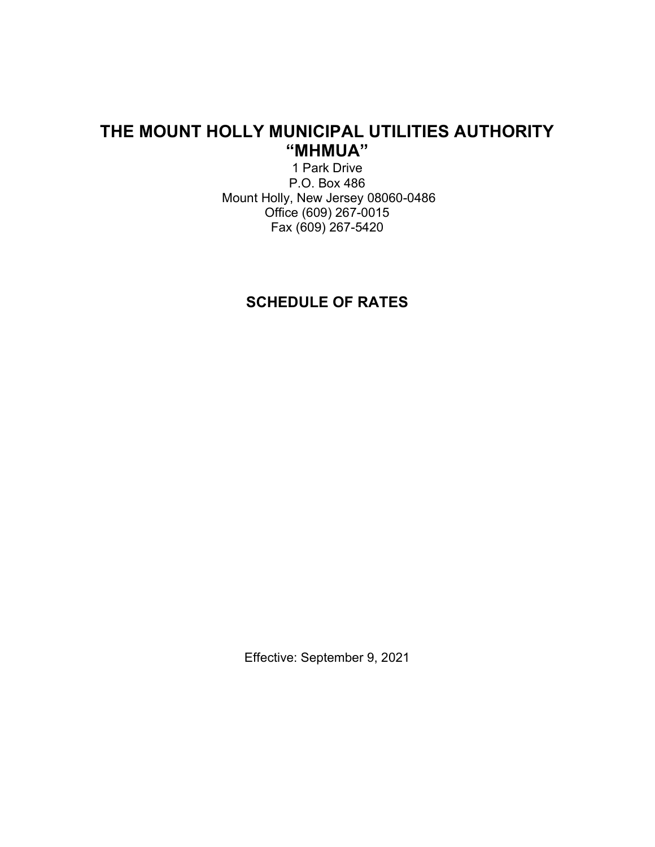# THE MOUNT HOLLY MUNICIPAL UTILITIES AUTHORITY "MHMUA"

1 Park Drive P.O. Box 486 Mount Holly, New Jersey 08060-0486 Office (609) 267-0015 Fax (609) 267-5420

# SCHEDULE OF RATES

Effective: September 9, 2021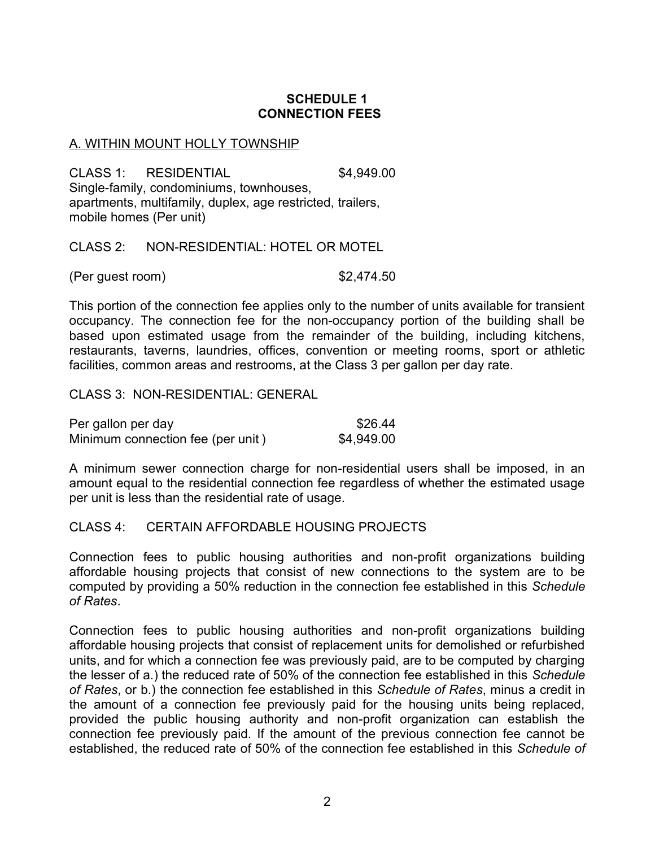## SCHEDULE 1 CONNECTION FEES

#### A. WITHIN MOUNT HOLLY TOWNSHIP

CLASS 1: RESIDENTIAL \$4,949.00 Single-family, condominiums, townhouses, apartments, multifamily, duplex, age restricted, trailers, mobile homes (Per unit)

CLASS 2: NON-RESIDENTIAL: HOTEL OR MOTEL

(Per guest room) \$2,474.50

This portion of the connection fee applies only to the number of units available for transient occupancy. The connection fee for the non-occupancy portion of the building shall be based upon estimated usage from the remainder of the building, including kitchens, restaurants, taverns, laundries, offices, convention or meeting rooms, sport or athletic facilities, common areas and restrooms, at the Class 3 per gallon per day rate.

CLASS 3: NON-RESIDENTIAL: GENERAL

| Per gallon per day                | \$26.44    |
|-----------------------------------|------------|
| Minimum connection fee (per unit) | \$4,949.00 |

A minimum sewer connection charge for non-residential users shall be imposed, in an amount equal to the residential connection fee regardless of whether the estimated usage per unit is less than the residential rate of usage.

#### CLASS 4: CERTAIN AFFORDABLE HOUSING PROJECTS

Connection fees to public housing authorities and non-profit organizations building affordable housing projects that consist of new connections to the system are to be computed by providing a 50% reduction in the connection fee established in this Schedule of Rates.

Connection fees to public housing authorities and non-profit organizations building affordable housing projects that consist of replacement units for demolished or refurbished units, and for which a connection fee was previously paid, are to be computed by charging the lesser of a.) the reduced rate of 50% of the connection fee established in this Schedule of Rates, or b.) the connection fee established in this Schedule of Rates, minus a credit in the amount of a connection fee previously paid for the housing units being replaced, provided the public housing authority and non-profit organization can establish the connection fee previously paid. If the amount of the previous connection fee cannot be established, the reduced rate of 50% of the connection fee established in this Schedule of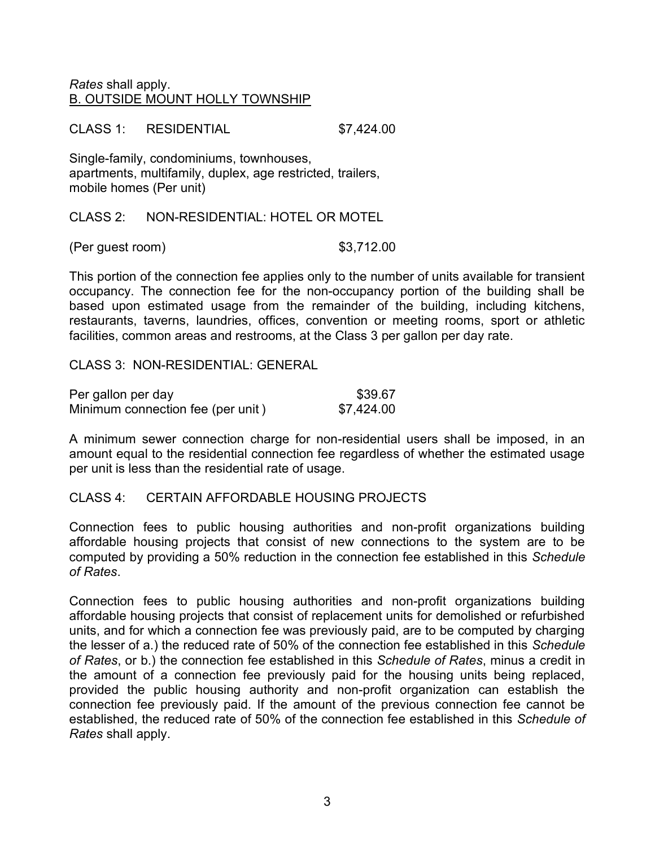## Rates shall apply. B. OUTSIDE MOUNT HOLLY TOWNSHIP

CLASS 1: RESIDENTIAL \$7,424.00

Single-family, condominiums, townhouses, apartments, multifamily, duplex, age restricted, trailers, mobile homes (Per unit)

CLASS 2: NON-RESIDENTIAL: HOTEL OR MOTEL

(Per guest room) \$3,712.00

This portion of the connection fee applies only to the number of units available for transient occupancy. The connection fee for the non-occupancy portion of the building shall be based upon estimated usage from the remainder of the building, including kitchens, restaurants, taverns, laundries, offices, convention or meeting rooms, sport or athletic facilities, common areas and restrooms, at the Class 3 per gallon per day rate.

CLASS 3: NON-RESIDENTIAL: GENERAL

| Per gallon per day                | \$39.67    |
|-----------------------------------|------------|
| Minimum connection fee (per unit) | \$7,424.00 |

A minimum sewer connection charge for non-residential users shall be imposed, in an amount equal to the residential connection fee regardless of whether the estimated usage per unit is less than the residential rate of usage.

## CLASS 4: CERTAIN AFFORDABLE HOUSING PROJECTS

Connection fees to public housing authorities and non-profit organizations building affordable housing projects that consist of new connections to the system are to be computed by providing a 50% reduction in the connection fee established in this Schedule of Rates.

Connection fees to public housing authorities and non-profit organizations building affordable housing projects that consist of replacement units for demolished or refurbished units, and for which a connection fee was previously paid, are to be computed by charging the lesser of a.) the reduced rate of 50% of the connection fee established in this Schedule of Rates, or b.) the connection fee established in this Schedule of Rates, minus a credit in the amount of a connection fee previously paid for the housing units being replaced, provided the public housing authority and non-profit organization can establish the connection fee previously paid. If the amount of the previous connection fee cannot be established, the reduced rate of 50% of the connection fee established in this Schedule of Rates shall apply.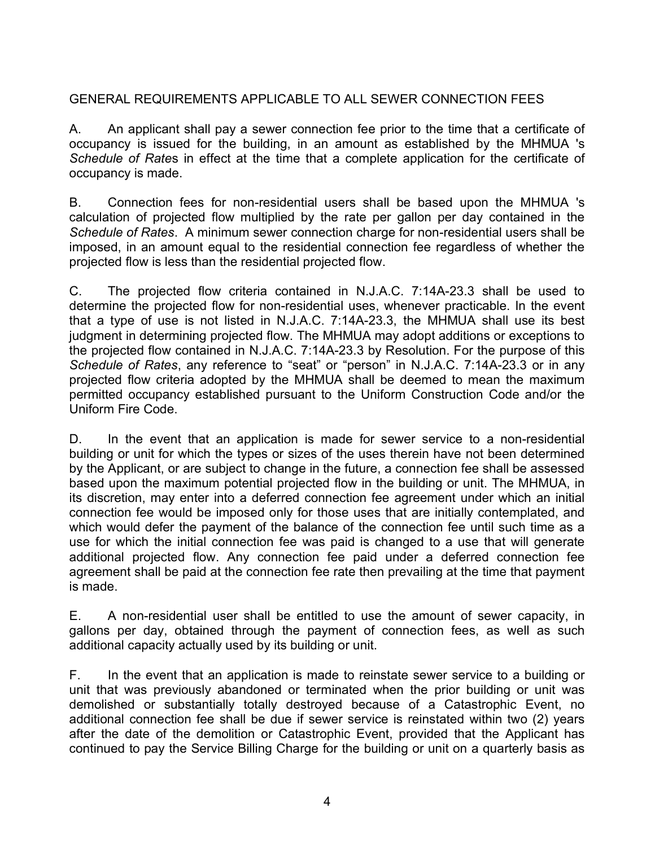# GENERAL REQUIREMENTS APPLICABLE TO ALL SEWER CONNECTION FEES

A. An applicant shall pay a sewer connection fee prior to the time that a certificate of occupancy is issued for the building, in an amount as established by the MHMUA 's Schedule of Rates in effect at the time that a complete application for the certificate of occupancy is made.

B. Connection fees for non-residential users shall be based upon the MHMUA 's calculation of projected flow multiplied by the rate per gallon per day contained in the Schedule of Rates. A minimum sewer connection charge for non-residential users shall be imposed, in an amount equal to the residential connection fee regardless of whether the projected flow is less than the residential projected flow.

C. The projected flow criteria contained in N.J.A.C. 7:14A-23.3 shall be used to determine the projected flow for non-residential uses, whenever practicable. In the event that a type of use is not listed in N.J.A.C. 7:14A-23.3, the MHMUA shall use its best judgment in determining projected flow. The MHMUA may adopt additions or exceptions to the projected flow contained in N.J.A.C. 7:14A-23.3 by Resolution. For the purpose of this Schedule of Rates, any reference to "seat" or "person" in N.J.A.C. 7:14A-23.3 or in any projected flow criteria adopted by the MHMUA shall be deemed to mean the maximum permitted occupancy established pursuant to the Uniform Construction Code and/or the Uniform Fire Code.

D. In the event that an application is made for sewer service to a non-residential building or unit for which the types or sizes of the uses therein have not been determined by the Applicant, or are subject to change in the future, a connection fee shall be assessed based upon the maximum potential projected flow in the building or unit. The MHMUA, in its discretion, may enter into a deferred connection fee agreement under which an initial connection fee would be imposed only for those uses that are initially contemplated, and which would defer the payment of the balance of the connection fee until such time as a use for which the initial connection fee was paid is changed to a use that will generate additional projected flow. Any connection fee paid under a deferred connection fee agreement shall be paid at the connection fee rate then prevailing at the time that payment is made.

E. A non-residential user shall be entitled to use the amount of sewer capacity, in gallons per day, obtained through the payment of connection fees, as well as such additional capacity actually used by its building or unit.

F. In the event that an application is made to reinstate sewer service to a building or unit that was previously abandoned or terminated when the prior building or unit was demolished or substantially totally destroyed because of a Catastrophic Event, no additional connection fee shall be due if sewer service is reinstated within two (2) years after the date of the demolition or Catastrophic Event, provided that the Applicant has continued to pay the Service Billing Charge for the building or unit on a quarterly basis as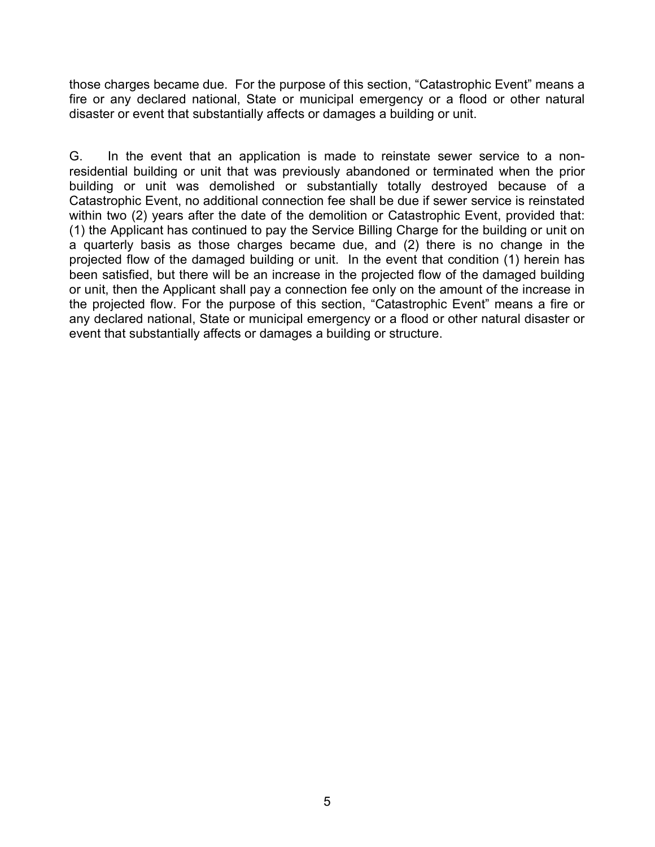those charges became due. For the purpose of this section, "Catastrophic Event" means a fire or any declared national, State or municipal emergency or a flood or other natural disaster or event that substantially affects or damages a building or unit.

G. In the event that an application is made to reinstate sewer service to a nonresidential building or unit that was previously abandoned or terminated when the prior building or unit was demolished or substantially totally destroyed because of a Catastrophic Event, no additional connection fee shall be due if sewer service is reinstated within two (2) years after the date of the demolition or Catastrophic Event, provided that: (1) the Applicant has continued to pay the Service Billing Charge for the building or unit on a quarterly basis as those charges became due, and (2) there is no change in the projected flow of the damaged building or unit. In the event that condition (1) herein has been satisfied, but there will be an increase in the projected flow of the damaged building or unit, then the Applicant shall pay a connection fee only on the amount of the increase in the projected flow. For the purpose of this section, "Catastrophic Event" means a fire or any declared national, State or municipal emergency or a flood or other natural disaster or event that substantially affects or damages a building or structure.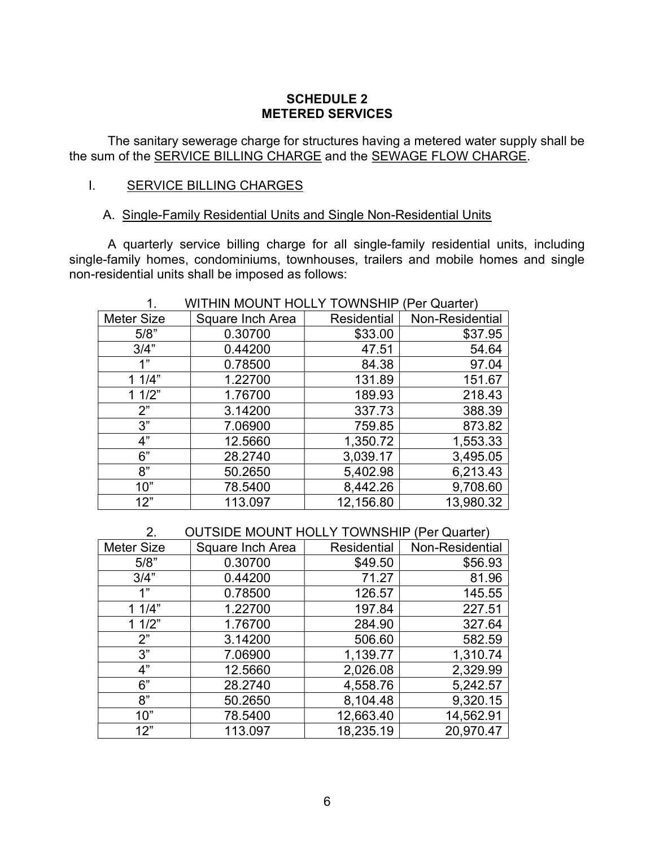## SCHEDULE 2 METERED SERVICES

The sanitary sewerage charge for structures having a metered water supply shall be the sum of the SERVICE BILLING CHARGE and the SEWAGE FLOW CHARGE.

#### I. SERVICE BILLING CHARGES

#### A. Single-Family Residential Units and Single Non-Residential Units

A quarterly service billing charge for all single-family residential units, including single-family homes, condominiums, townhouses, trailers and mobile homes and single non-residential units shall be imposed as follows:

| . .               |                  | .                  | , טו שמטונטון   |
|-------------------|------------------|--------------------|-----------------|
| <b>Meter Size</b> | Square Inch Area | <b>Residential</b> | Non-Residential |
| 5/8"              | 0.30700          | \$33.00            | \$37.95         |
| 3/4"              | 0.44200          | 47.51              | 54.64           |
| 1"                | 0.78500          | 84.38              | 97.04           |
| 11/4"             | 1.22700          | 131.89             | 151.67          |
| 11/2"             | 1.76700          | 189.93             | 218.43          |
| 2"                | 3.14200          | 337.73             | 388.39          |
| 3"                | 7.06900          | 759.85             | 873.82          |
| 4"                | 12.5660          | 1,350.72           | 1,553.33        |
| 6"                | 28.2740          | 3,039.17           | 3,495.05        |
| 8"                | 50.2650          | 5,402.98           | 6,213.43        |
| 10"               | 78.5400          | 8,442.26           | 9,708.60        |
| 12"               | 113.097          | 12,156.80          | 13,980.32       |

# 1. WITHIN MOUNT HOLLY TOWNSHIP (Per Quarter)

## 2. OUTSIDE MOUNT HOLLY TOWNSHIP (Per Quarter)

| <b>Meter Size</b> | Square Inch Area | <b>Residential</b> | Non-Residential |
|-------------------|------------------|--------------------|-----------------|
| 5/8"              | 0.30700          | \$49.50            | \$56.93         |
| 3/4"              | 0.44200          | 71.27              | 81.96           |
| 1"                | 0.78500          | 126.57             | 145.55          |
| 11/4"             | 1.22700          | 197.84             | 227.51          |
| 11/2"             | 1.76700          | 284.90             | 327.64          |
| 2"                | 3.14200          | 506.60             | 582.59          |
| 3"                | 7.06900          | 1,139.77           | 1,310.74        |
| 4"                | 12.5660          | 2,026.08           | 2,329.99        |
| 6"                | 28.2740          | 4,558.76           | 5,242.57        |
| 8"                | 50.2650          | 8,104.48           | 9,320.15        |
| 10"               | 78.5400          | 12,663.40          | 14,562.91       |
| 12"               | 113.097          | 18,235.19          | 20,970.47       |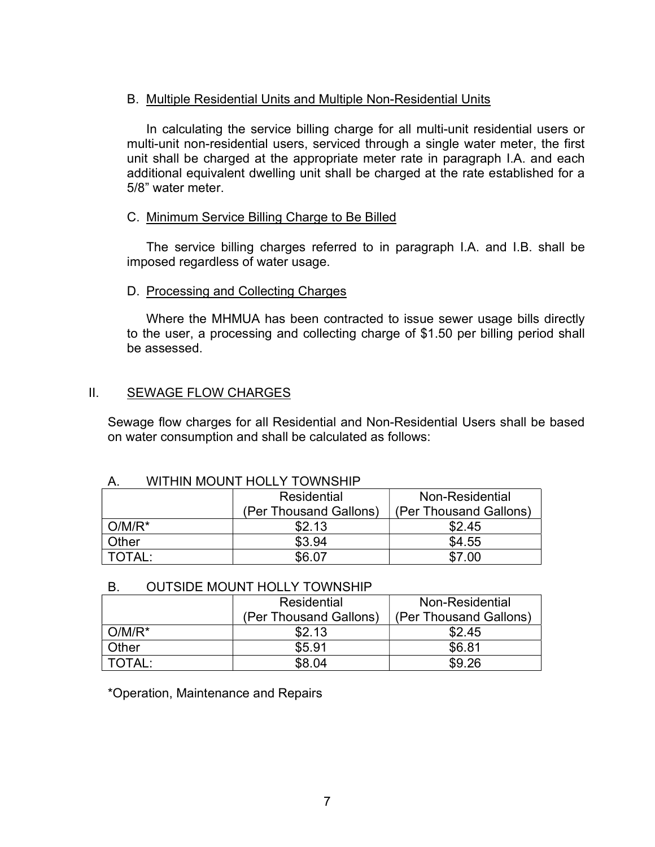## B. Multiple Residential Units and Multiple Non-Residential Units

In calculating the service billing charge for all multi-unit residential users or multi-unit non-residential users, serviced through a single water meter, the first unit shall be charged at the appropriate meter rate in paragraph I.A. and each additional equivalent dwelling unit shall be charged at the rate established for a 5/8" water meter.

### C. Minimum Service Billing Charge to Be Billed

The service billing charges referred to in paragraph I.A. and I.B. shall be imposed regardless of water usage.

### D. Processing and Collecting Charges

Where the MHMUA has been contracted to issue sewer usage bills directly to the user, a processing and collecting charge of \$1.50 per billing period shall be assessed.

## II. SEWAGE FLOW CHARGES

Sewage flow charges for all Residential and Non-Residential Users shall be based on water consumption and shall be calculated as follows:

#### A. WITHIN MOUNT HOLLY TOWNSHIP

|           | Residential            | Non-Residential        |
|-----------|------------------------|------------------------|
|           | (Per Thousand Gallons) | (Per Thousand Gallons) |
| $O/M/R^*$ | \$2.13                 | \$2.45                 |
| Other     | \$3.94                 | \$4.55                 |
|           | \$6.07                 | 7.00                   |

#### B. OUTSIDE MOUNT HOLLY TOWNSHIP

|           | Residential            | Non-Residential        |
|-----------|------------------------|------------------------|
|           | (Per Thousand Gallons) | (Per Thousand Gallons) |
| $O/M/R^*$ | \$2.13                 | \$2.45                 |
| Other     | \$5.91                 | \$6.81                 |
| TOTAL:    | \$8.04                 | \$9.26                 |

\*Operation, Maintenance and Repairs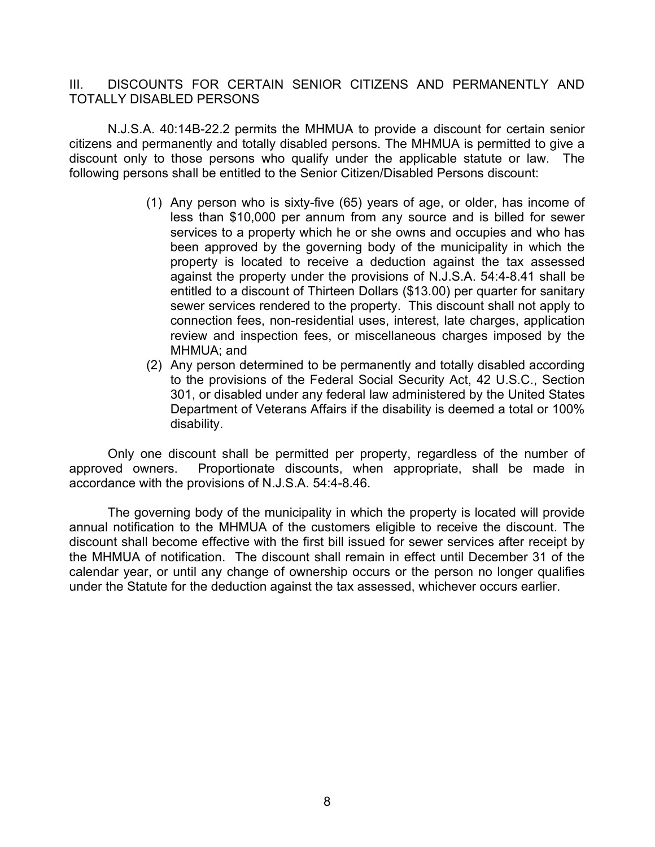## III. DISCOUNTS FOR CERTAIN SENIOR CITIZENS AND PERMANENTLY AND TOTALLY DISABLED PERSONS

N.J.S.A. 40:14B-22.2 permits the MHMUA to provide a discount for certain senior citizens and permanently and totally disabled persons. The MHMUA is permitted to give a discount only to those persons who qualify under the applicable statute or law. The following persons shall be entitled to the Senior Citizen/Disabled Persons discount:

- (1) Any person who is sixty-five (65) years of age, or older, has income of less than \$10,000 per annum from any source and is billed for sewer services to a property which he or she owns and occupies and who has been approved by the governing body of the municipality in which the property is located to receive a deduction against the tax assessed against the property under the provisions of N.J.S.A. 54:4-8.41 shall be entitled to a discount of Thirteen Dollars (\$13.00) per quarter for sanitary sewer services rendered to the property. This discount shall not apply to connection fees, non-residential uses, interest, late charges, application review and inspection fees, or miscellaneous charges imposed by the MHMUA; and
- (2) Any person determined to be permanently and totally disabled according to the provisions of the Federal Social Security Act, 42 U.S.C., Section 301, or disabled under any federal law administered by the United States Department of Veterans Affairs if the disability is deemed a total or 100% disability.

Only one discount shall be permitted per property, regardless of the number of approved owners. Proportionate discounts, when appropriate, shall be made in accordance with the provisions of N.J.S.A. 54:4-8.46.

The governing body of the municipality in which the property is located will provide annual notification to the MHMUA of the customers eligible to receive the discount. The discount shall become effective with the first bill issued for sewer services after receipt by the MHMUA of notification. The discount shall remain in effect until December 31 of the calendar year, or until any change of ownership occurs or the person no longer qualifies under the Statute for the deduction against the tax assessed, whichever occurs earlier.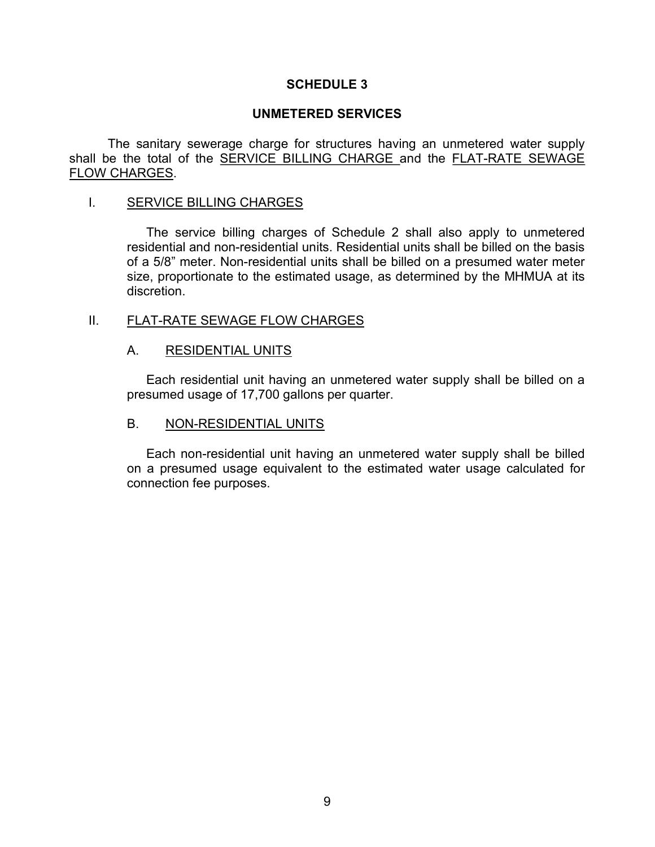### UNMETERED SERVICES

The sanitary sewerage charge for structures having an unmetered water supply shall be the total of the SERVICE BILLING CHARGE and the FLAT-RATE SEWAGE FLOW CHARGES.

#### I. SERVICE BILLING CHARGES

The service billing charges of Schedule 2 shall also apply to unmetered residential and non-residential units. Residential units shall be billed on the basis of a 5/8" meter. Non-residential units shall be billed on a presumed water meter size, proportionate to the estimated usage, as determined by the MHMUA at its discretion.

### II. FLAT-RATE SEWAGE FLOW CHARGES

#### A. RESIDENTIAL UNITS

Each residential unit having an unmetered water supply shall be billed on a presumed usage of 17,700 gallons per quarter.

#### B. NON-RESIDENTIAL UNITS

Each non-residential unit having an unmetered water supply shall be billed on a presumed usage equivalent to the estimated water usage calculated for connection fee purposes.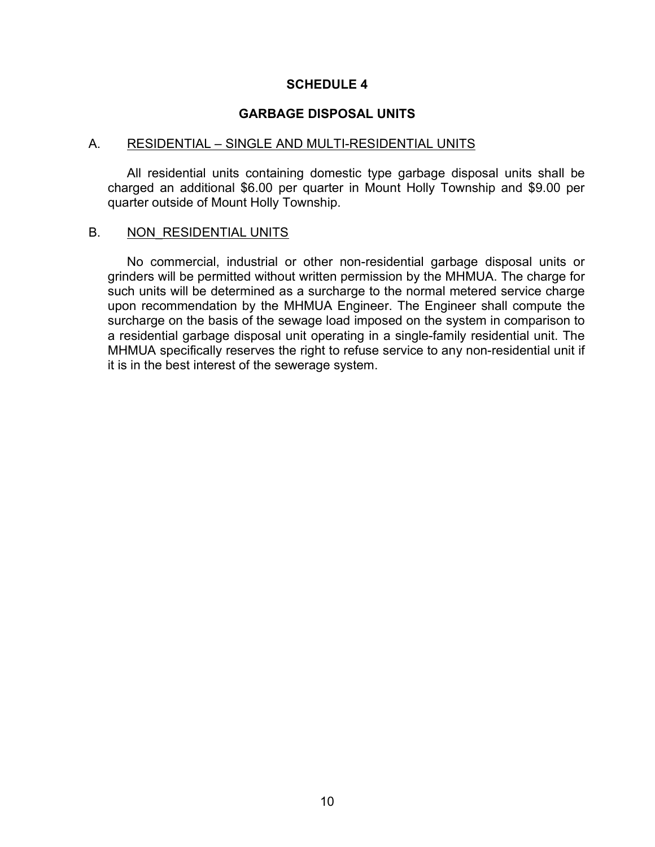#### GARBAGE DISPOSAL UNITS

#### A. RESIDENTIAL – SINGLE AND MULTI-RESIDENTIAL UNITS

All residential units containing domestic type garbage disposal units shall be charged an additional \$6.00 per quarter in Mount Holly Township and \$9.00 per quarter outside of Mount Holly Township.

#### B. NON RESIDENTIAL UNITS

No commercial, industrial or other non-residential garbage disposal units or grinders will be permitted without written permission by the MHMUA. The charge for such units will be determined as a surcharge to the normal metered service charge upon recommendation by the MHMUA Engineer. The Engineer shall compute the surcharge on the basis of the sewage load imposed on the system in comparison to a residential garbage disposal unit operating in a single-family residential unit. The MHMUA specifically reserves the right to refuse service to any non-residential unit if it is in the best interest of the sewerage system.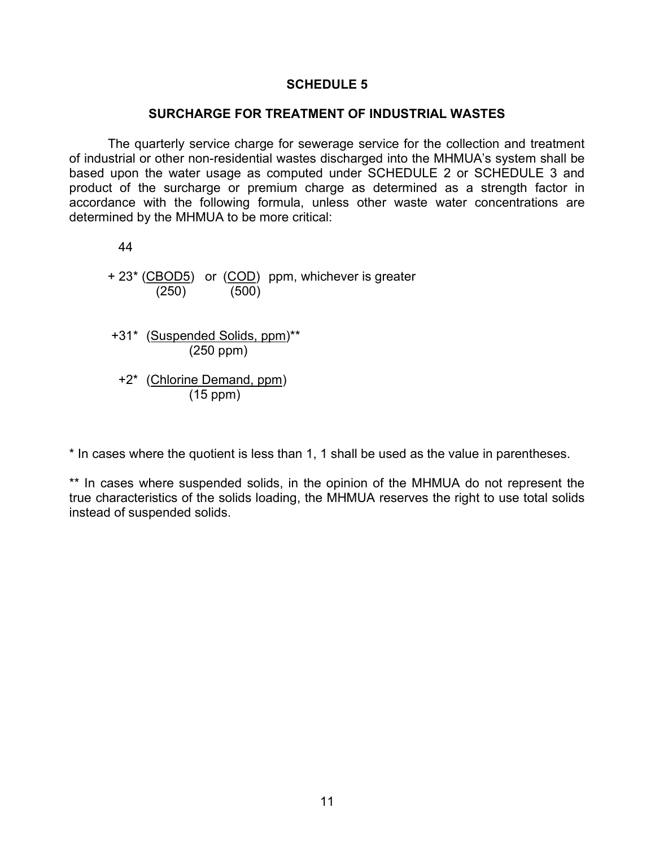#### SURCHARGE FOR TREATMENT OF INDUSTRIAL WASTES

 The quarterly service charge for sewerage service for the collection and treatment of industrial or other non-residential wastes discharged into the MHMUA's system shall be based upon the water usage as computed under SCHEDULE 2 or SCHEDULE 3 and product of the surcharge or premium charge as determined as a strength factor in accordance with the following formula, unless other waste water concentrations are determined by the MHMUA to be more critical:

44

+ 23\* (CBOD5) or (COD) ppm, whichever is greater (250) (500)

 +31\* (Suspended Solids, ppm)\*\* (250 ppm)

 +2\* (Chlorine Demand, ppm) (15 ppm)

\* In cases where the quotient is less than 1, 1 shall be used as the value in parentheses.

\*\* In cases where suspended solids, in the opinion of the MHMUA do not represent the true characteristics of the solids loading, the MHMUA reserves the right to use total solids instead of suspended solids.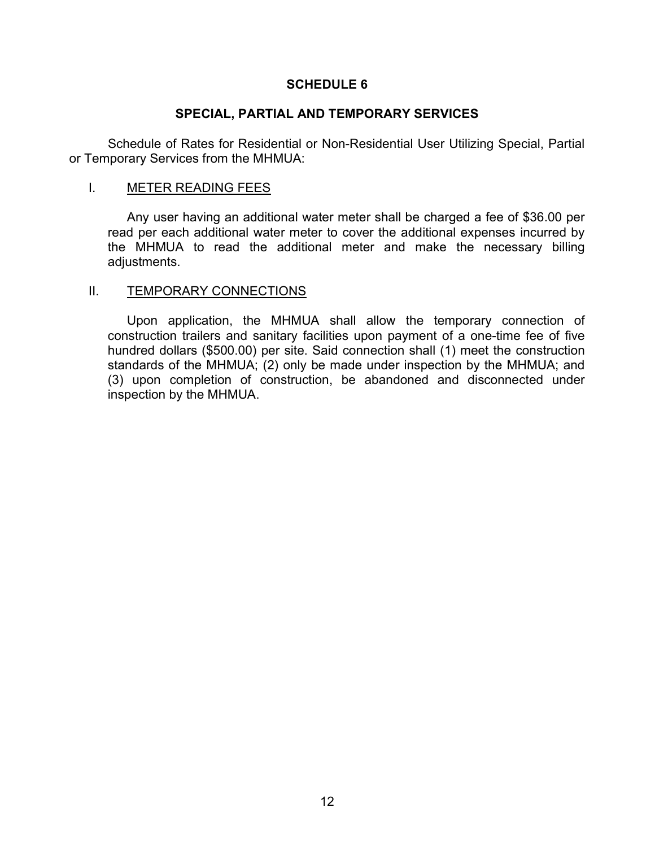### SPECIAL, PARTIAL AND TEMPORARY SERVICES

 Schedule of Rates for Residential or Non-Residential User Utilizing Special, Partial or Temporary Services from the MHMUA:

#### I. METER READING FEES

Any user having an additional water meter shall be charged a fee of \$36.00 per read per each additional water meter to cover the additional expenses incurred by the MHMUA to read the additional meter and make the necessary billing adiustments.

#### II. TEMPORARY CONNECTIONS

Upon application, the MHMUA shall allow the temporary connection of construction trailers and sanitary facilities upon payment of a one-time fee of five hundred dollars (\$500.00) per site. Said connection shall (1) meet the construction standards of the MHMUA; (2) only be made under inspection by the MHMUA; and (3) upon completion of construction, be abandoned and disconnected under inspection by the MHMUA.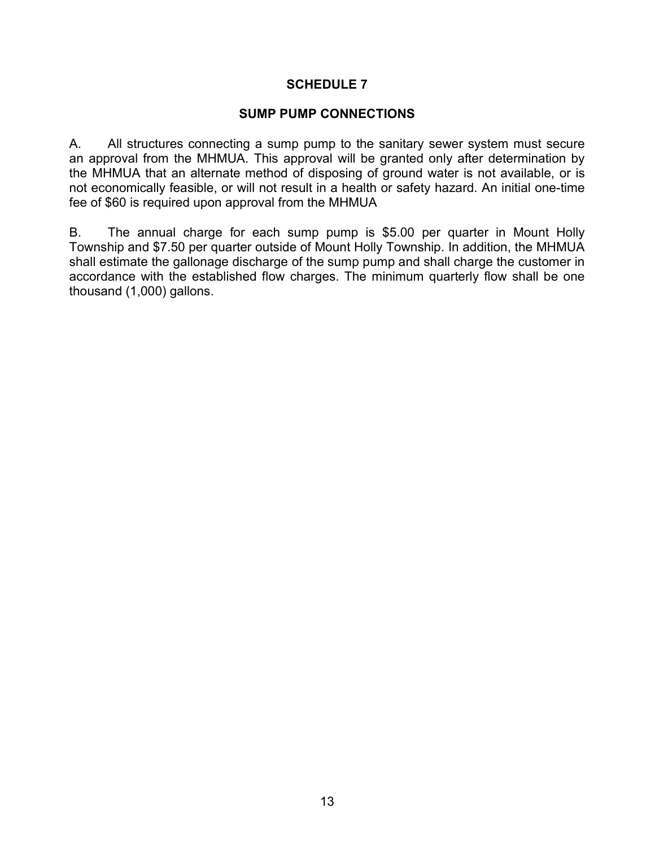## SUMP PUMP CONNECTIONS

A. All structures connecting a sump pump to the sanitary sewer system must secure an approval from the MHMUA. This approval will be granted only after determination by the MHMUA that an alternate method of disposing of ground water is not available, or is not economically feasible, or will not result in a health or safety hazard. An initial one-time fee of \$60 is required upon approval from the MHMUA

B. The annual charge for each sump pump is \$5.00 per quarter in Mount Holly Township and \$7.50 per quarter outside of Mount Holly Township. In addition, the MHMUA shall estimate the gallonage discharge of the sump pump and shall charge the customer in accordance with the established flow charges. The minimum quarterly flow shall be one thousand (1,000) gallons.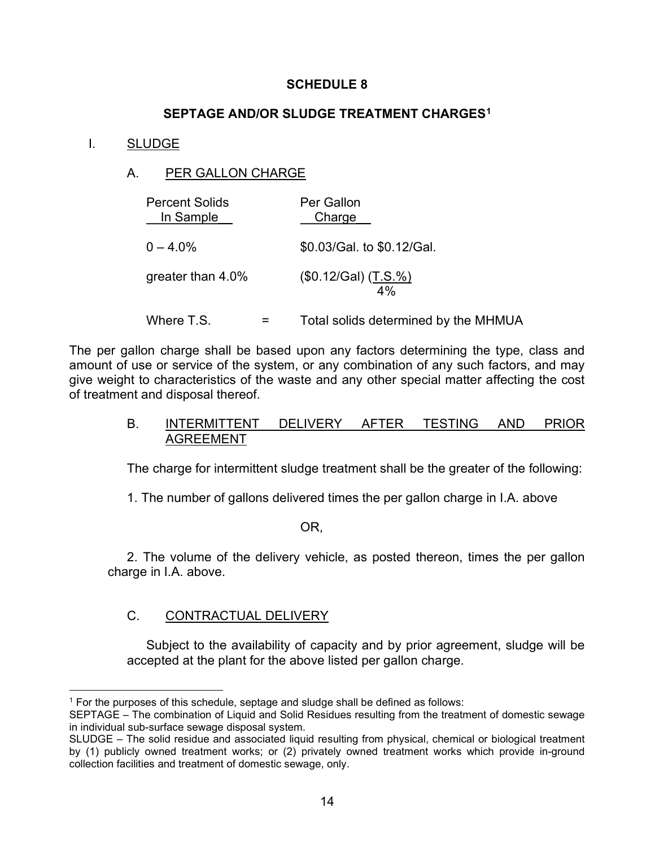## SEPTAGE AND/OR SLUDGE TREATMENT CHARGES<sup>1</sup>

## I. SLUDGE

## A. PER GALLON CHARGE

| <b>Percent Solids</b><br>In Sample | Per Gallon<br>Charge       |
|------------------------------------|----------------------------|
| $0 - 4.0\%$                        | \$0.03/Gal. to \$0.12/Gal. |
| greater than 4.0%                  | (\$0.12/Gal) (T.S.%)<br>4% |

Where  $T.S.$   $=$   $Total$  solids determined by the MHMUA

The per gallon charge shall be based upon any factors determining the type, class and amount of use or service of the system, or any combination of any such factors, and may give weight to characteristics of the waste and any other special matter affecting the cost of treatment and disposal thereof.

### B. INTERMITTENT DELIVERY AFTER TESTING AND PRIOR AGREEMENT

The charge for intermittent sludge treatment shall be the greater of the following:

1. The number of gallons delivered times the per gallon charge in I.A. above

OR,

2. The volume of the delivery vehicle, as posted thereon, times the per gallon charge in I.A. above.

# C. CONTRACTUAL DELIVERY

Subject to the availability of capacity and by prior agreement, sludge will be accepted at the plant for the above listed per gallon charge.

<sup>1</sup> For the purposes of this schedule, septage and sludge shall be defined as follows:

SEPTAGE – The combination of Liquid and Solid Residues resulting from the treatment of domestic sewage in individual sub-surface sewage disposal system.

SLUDGE – The solid residue and associated liquid resulting from physical, chemical or biological treatment by (1) publicly owned treatment works; or (2) privately owned treatment works which provide in-ground collection facilities and treatment of domestic sewage, only.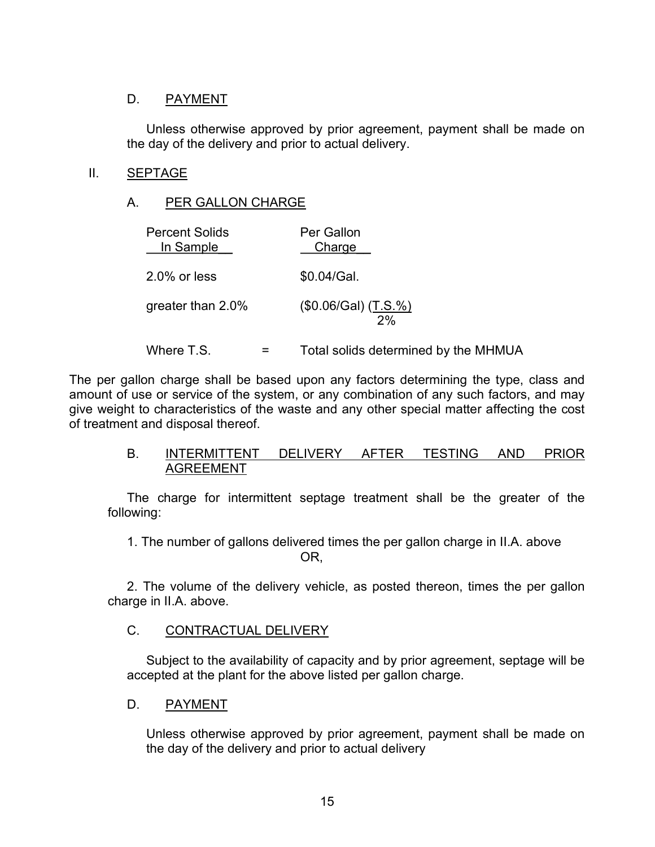## D. PAYMENT

Unless otherwise approved by prior agreement, payment shall be made on the day of the delivery and prior to actual delivery.

## II. SEPTAGE

## A. PER GALLON CHARGE

| <b>Percent Solids</b><br>In Sample | Per Gallon<br>Charge                 |
|------------------------------------|--------------------------------------|
| $2.0\%$ or less                    | \$0.04/Gal.                          |
| greater than 2.0%                  | (\$0.06/Gal) (T.S. %)<br>2%          |
| Where T.S.                         | Total solids determined by the MHMUA |

The per gallon charge shall be based upon any factors determining the type, class and amount of use or service of the system, or any combination of any such factors, and may give weight to characteristics of the waste and any other special matter affecting the cost of treatment and disposal thereof.

## B. INTERMITTENT DELIVERY AFTER TESTING AND PRIOR AGREEMENT

The charge for intermittent septage treatment shall be the greater of the following:

1. The number of gallons delivered times the per gallon charge in II.A. above OR,

2. The volume of the delivery vehicle, as posted thereon, times the per gallon charge in II.A. above.

## C. CONTRACTUAL DELIVERY

Subject to the availability of capacity and by prior agreement, septage will be accepted at the plant for the above listed per gallon charge.

## D. PAYMENT

Unless otherwise approved by prior agreement, payment shall be made on the day of the delivery and prior to actual delivery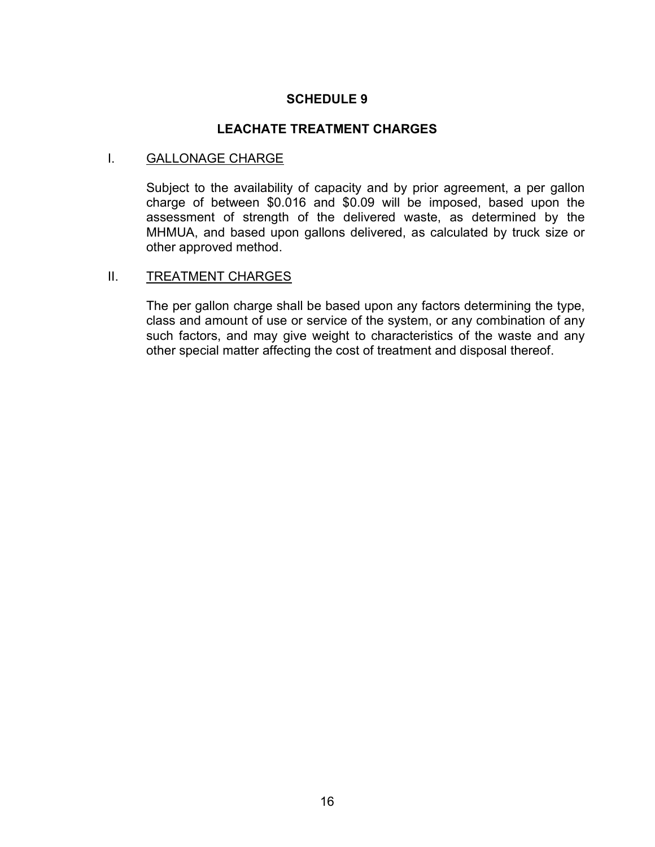#### LEACHATE TREATMENT CHARGES

#### I. **GALLONAGE CHARGE**

Subject to the availability of capacity and by prior agreement, a per gallon charge of between \$0.016 and \$0.09 will be imposed, based upon the assessment of strength of the delivered waste, as determined by the MHMUA, and based upon gallons delivered, as calculated by truck size or other approved method.

#### II. TREATMENT CHARGES

The per gallon charge shall be based upon any factors determining the type, class and amount of use or service of the system, or any combination of any such factors, and may give weight to characteristics of the waste and any other special matter affecting the cost of treatment and disposal thereof.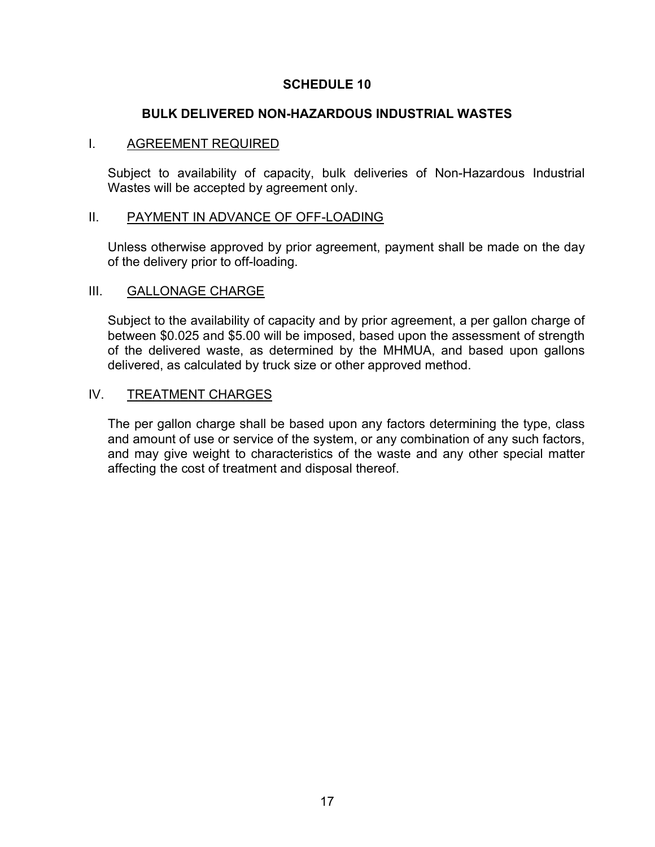## BULK DELIVERED NON-HAZARDOUS INDUSTRIAL WASTES

### I. AGREEMENT REQUIRED

Subject to availability of capacity, bulk deliveries of Non-Hazardous Industrial Wastes will be accepted by agreement only.

### II. PAYMENT IN ADVANCE OF OFF-LOADING

Unless otherwise approved by prior agreement, payment shall be made on the day of the delivery prior to off-loading.

## III. GALLONAGE CHARGE

Subject to the availability of capacity and by prior agreement, a per gallon charge of between \$0.025 and \$5.00 will be imposed, based upon the assessment of strength of the delivered waste, as determined by the MHMUA, and based upon gallons delivered, as calculated by truck size or other approved method.

### IV. TREATMENT CHARGES

The per gallon charge shall be based upon any factors determining the type, class and amount of use or service of the system, or any combination of any such factors, and may give weight to characteristics of the waste and any other special matter affecting the cost of treatment and disposal thereof.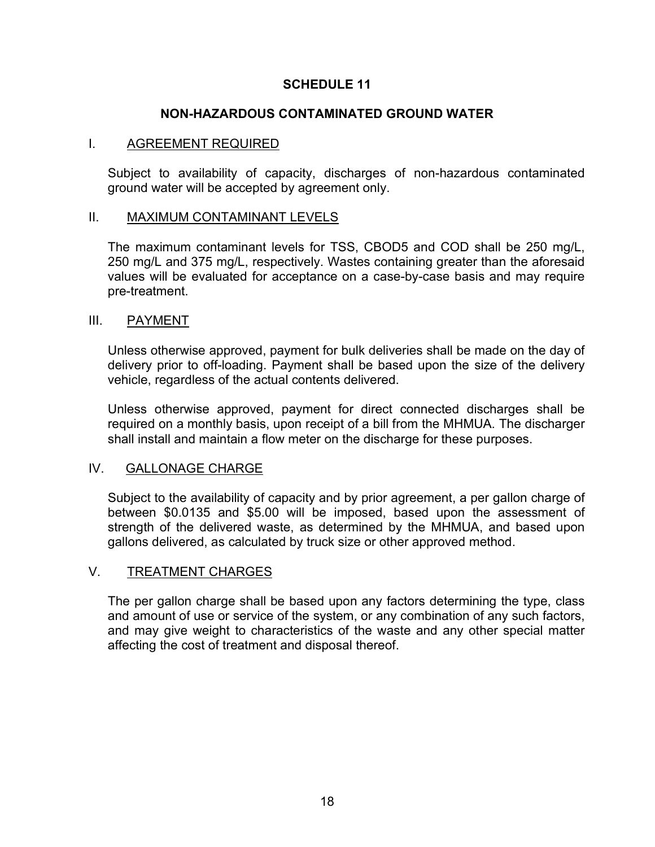## NON-HAZARDOUS CONTAMINATED GROUND WATER

### I. AGREEMENT REQUIRED

Subject to availability of capacity, discharges of non-hazardous contaminated ground water will be accepted by agreement only.

### II. MAXIMUM CONTAMINANT LEVELS

The maximum contaminant levels for TSS, CBOD5 and COD shall be 250 mg/L, 250 mg/L and 375 mg/L, respectively. Wastes containing greater than the aforesaid values will be evaluated for acceptance on a case-by-case basis and may require pre-treatment.

### III. PAYMENT

Unless otherwise approved, payment for bulk deliveries shall be made on the day of delivery prior to off-loading. Payment shall be based upon the size of the delivery vehicle, regardless of the actual contents delivered.

Unless otherwise approved, payment for direct connected discharges shall be required on a monthly basis, upon receipt of a bill from the MHMUA. The discharger shall install and maintain a flow meter on the discharge for these purposes.

## IV. GALLONAGE CHARGE

Subject to the availability of capacity and by prior agreement, a per gallon charge of between \$0.0135 and \$5.00 will be imposed, based upon the assessment of strength of the delivered waste, as determined by the MHMUA, and based upon gallons delivered, as calculated by truck size or other approved method.

## V. TREATMENT CHARGES

The per gallon charge shall be based upon any factors determining the type, class and amount of use or service of the system, or any combination of any such factors, and may give weight to characteristics of the waste and any other special matter affecting the cost of treatment and disposal thereof.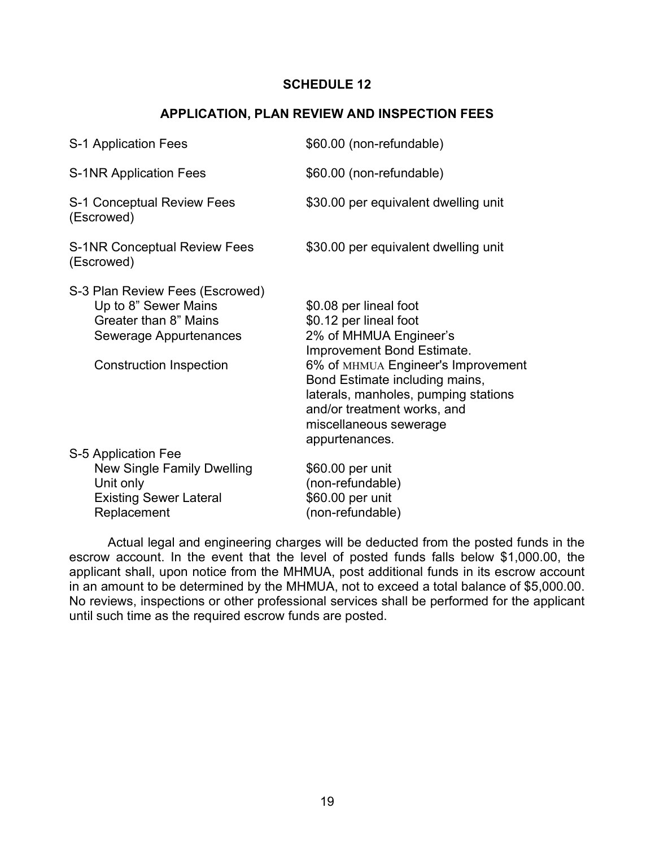## APPLICATION, PLAN REVIEW AND INSPECTION FEES

| S-1 Application Fees                                                                                                                         | \$60.00 (non-refundable)                                                                                                                                                                                                                                                                            |
|----------------------------------------------------------------------------------------------------------------------------------------------|-----------------------------------------------------------------------------------------------------------------------------------------------------------------------------------------------------------------------------------------------------------------------------------------------------|
| <b>S-1NR Application Fees</b>                                                                                                                | \$60.00 (non-refundable)                                                                                                                                                                                                                                                                            |
| S-1 Conceptual Review Fees<br>(Escrowed)                                                                                                     | \$30.00 per equivalent dwelling unit                                                                                                                                                                                                                                                                |
| <b>S-1NR Conceptual Review Fees</b><br>(Escrowed)                                                                                            | \$30.00 per equivalent dwelling unit                                                                                                                                                                                                                                                                |
| S-3 Plan Review Fees (Escrowed)<br>Up to 8" Sewer Mains<br>Greater than 8" Mains<br>Sewerage Appurtenances<br><b>Construction Inspection</b> | \$0.08 per lineal foot<br>\$0.12 per lineal foot<br>2% of MHMUA Engineer's<br>Improvement Bond Estimate.<br>6% of MHMUA Engineer's Improvement<br>Bond Estimate including mains,<br>laterals, manholes, pumping stations<br>and/or treatment works, and<br>miscellaneous sewerage<br>appurtenances. |
| S-5 Application Fee<br>New Single Family Dwelling<br>Unit only<br><b>Existing Sewer Lateral</b><br>Replacement                               | \$60.00 per unit<br>(non-refundable)<br>\$60.00 per unit<br>(non-refundable)                                                                                                                                                                                                                        |

Actual legal and engineering charges will be deducted from the posted funds in the escrow account. In the event that the level of posted funds falls below \$1,000.00, the applicant shall, upon notice from the MHMUA, post additional funds in its escrow account in an amount to be determined by the MHMUA, not to exceed a total balance of \$5,000.00. No reviews, inspections or other professional services shall be performed for the applicant until such time as the required escrow funds are posted.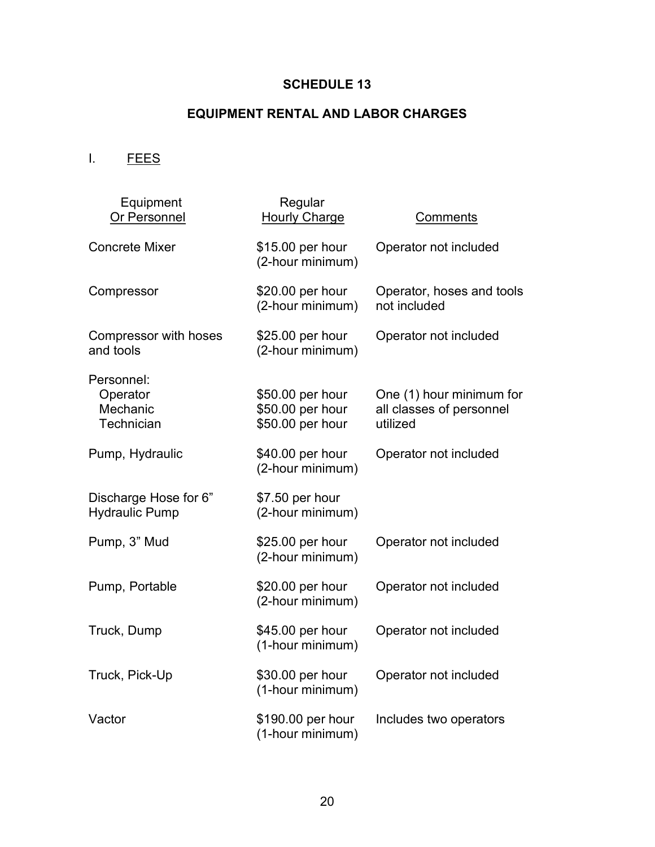# EQUIPMENT RENTAL AND LABOR CHARGES

I. FEES

| Equipment<br>Or Personnel                        | Regular<br><b>Hourly Charge</b>                          | Comments                                                         |
|--------------------------------------------------|----------------------------------------------------------|------------------------------------------------------------------|
| <b>Concrete Mixer</b>                            | \$15.00 per hour<br>(2-hour minimum)                     | Operator not included                                            |
| Compressor                                       | \$20.00 per hour<br>(2-hour minimum)                     | Operator, hoses and tools<br>not included                        |
| Compressor with hoses<br>and tools               | \$25.00 per hour<br>(2-hour minimum)                     | Operator not included                                            |
| Personnel:<br>Operator<br>Mechanic<br>Technician | \$50.00 per hour<br>\$50.00 per hour<br>\$50.00 per hour | One (1) hour minimum for<br>all classes of personnel<br>utilized |
| Pump, Hydraulic                                  | \$40.00 per hour<br>(2-hour minimum)                     | Operator not included                                            |
| Discharge Hose for 6"<br><b>Hydraulic Pump</b>   | \$7.50 per hour<br>(2-hour minimum)                      |                                                                  |
| Pump, 3" Mud                                     | \$25.00 per hour<br>(2-hour minimum)                     | Operator not included                                            |
| Pump, Portable                                   | \$20.00 per hour<br>(2-hour minimum)                     | Operator not included                                            |
| Truck, Dump                                      | \$45.00 per hour<br>(1-hour minimum)                     | Operator not included                                            |
| Truck, Pick-Up                                   | \$30.00 per hour<br>(1-hour minimum)                     | Operator not included                                            |
| Vactor                                           | \$190.00 per hour<br>(1-hour minimum)                    | Includes two operators                                           |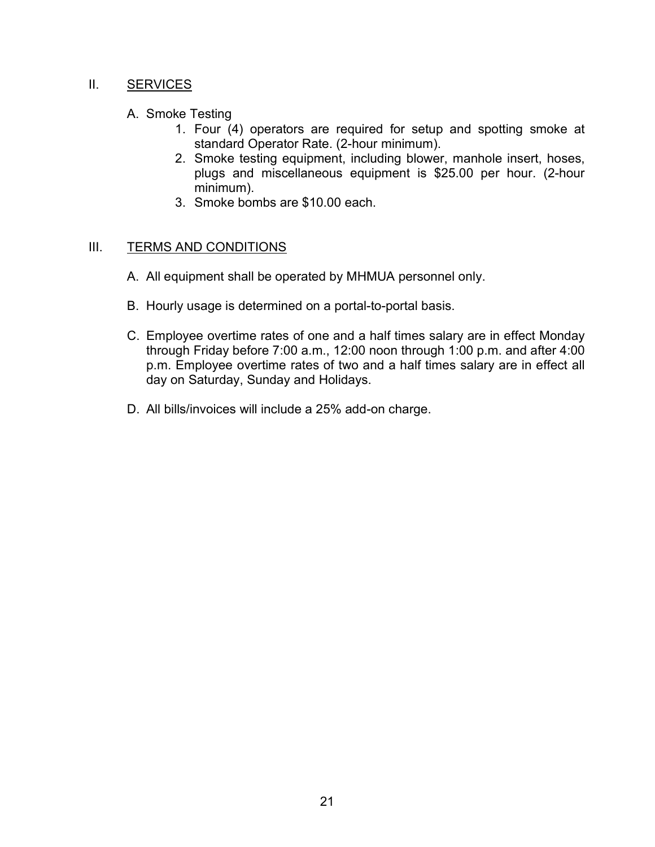## II. **SERVICES**

- A. Smoke Testing
	- 1. Four (4) operators are required for setup and spotting smoke at standard Operator Rate. (2-hour minimum).
	- 2. Smoke testing equipment, including blower, manhole insert, hoses, plugs and miscellaneous equipment is \$25.00 per hour. (2-hour minimum).
	- 3. Smoke bombs are \$10.00 each.

# III. TERMS AND CONDITIONS

- A. All equipment shall be operated by MHMUA personnel only.
- B. Hourly usage is determined on a portal-to-portal basis.
- C. Employee overtime rates of one and a half times salary are in effect Monday through Friday before 7:00 a.m., 12:00 noon through 1:00 p.m. and after 4:00 p.m. Employee overtime rates of two and a half times salary are in effect all day on Saturday, Sunday and Holidays.
- D. All bills/invoices will include a 25% add-on charge.